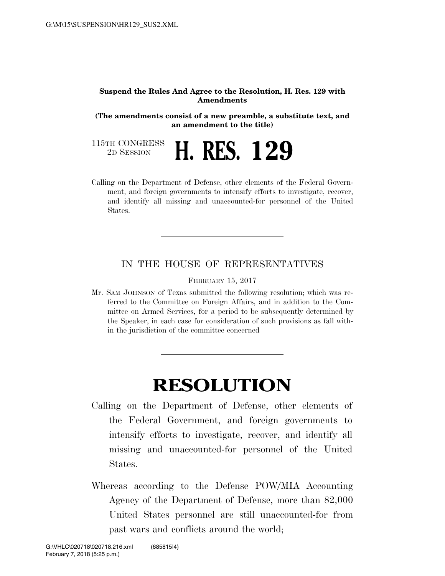## **Suspend the Rules And Agree to the Resolution, H. Res. 129 with Amendments**

**(The amendments consist of a new preamble, a substitute text, and an amendment to the title)** 

115TH CONGRESS<br>2D SESSION

2D SESSION **H. RES. 129** 

Calling on the Department of Defense, other elements of the Federal Government, and foreign governments to intensify efforts to investigate, recover, and identify all missing and unaccounted-for personnel of the United States.

## IN THE HOUSE OF REPRESENTATIVES

FEBRUARY 15, 2017

Mr. SAM JOHNSON of Texas submitted the following resolution; which was referred to the Committee on Foreign Affairs, and in addition to the Committee on Armed Services, for a period to be subsequently determined by the Speaker, in each case for consideration of such provisions as fall within the jurisdiction of the committee concerned

## **RESOLUTION**

- Calling on the Department of Defense, other elements of the Federal Government, and foreign governments to intensify efforts to investigate, recover, and identify all missing and unaccounted-for personnel of the United States.
- Whereas according to the Defense POW/MIA Accounting Agency of the Department of Defense, more than 82,000 United States personnel are still unaccounted-for from past wars and conflicts around the world;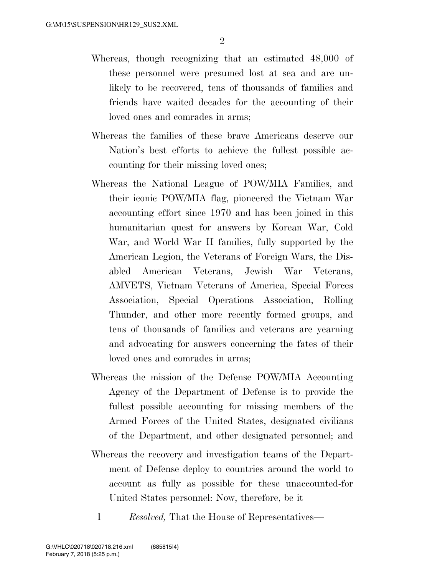- Whereas, though recognizing that an estimated 48,000 of these personnel were presumed lost at sea and are unlikely to be recovered, tens of thousands of families and friends have waited decades for the accounting of their loved ones and comrades in arms;
- Whereas the families of these brave Americans deserve our Nation's best efforts to achieve the fullest possible accounting for their missing loved ones;
- Whereas the National League of POW/MIA Families, and their iconic POW/MIA flag, pioneered the Vietnam War accounting effort since 1970 and has been joined in this humanitarian quest for answers by Korean War, Cold War, and World War II families, fully supported by the American Legion, the Veterans of Foreign Wars, the Disabled American Veterans, Jewish War Veterans, AMVETS, Vietnam Veterans of America, Special Forces Association, Special Operations Association, Rolling Thunder, and other more recently formed groups, and tens of thousands of families and veterans are yearning and advocating for answers concerning the fates of their loved ones and comrades in arms;
- Whereas the mission of the Defense POW/MIA Accounting Agency of the Department of Defense is to provide the fullest possible accounting for missing members of the Armed Forces of the United States, designated civilians of the Department, and other designated personnel; and
- Whereas the recovery and investigation teams of the Department of Defense deploy to countries around the world to account as fully as possible for these unaccounted-for United States personnel: Now, therefore, be it
	- 1 *Resolved,* That the House of Representatives—